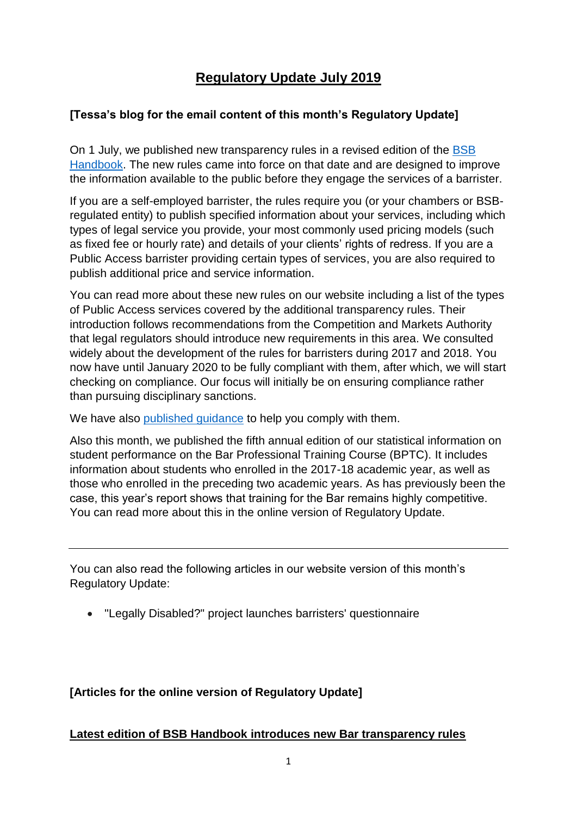# **Regulatory Update July 2019**

# **[Tessa's blog for the email content of this month's Regulatory Update]**

On 1 July, we published new transparency rules in a revised edition of the [BSB](https://www.barstandardsboard.org.uk/regulatory-requirements/bsb-handbook/) [Handbook.](https://www.barstandardsboard.org.uk/regulatory-requirements/bsb-handbook/) The new rules came into force on that date and are designed to improve the information available to the public before they engage the services of a barrister.

If you are a self-employed barrister, the rules require you (or your chambers or BSBregulated entity) to publish specified information about your services, including which types of legal service you provide, your most commonly used pricing models (such as fixed fee or hourly rate) and details of your clients' rights of redress. If you are a Public Access barrister providing certain types of services, you are also required to publish additional price and service information.

You can read more about these new rules on our website including a list of the types of Public Access services covered by the additional transparency rules. Their introduction follows recommendations from the Competition and Markets Authority that legal regulators should introduce new requirements in this area. We consulted widely about the development of the rules for barristers during 2017 and 2018. You now have until January 2020 to be fully compliant with them, after which, we will start checking on compliance. Our focus will initially be on ensuring compliance rather than pursuing disciplinary sanctions.

We have also published quidance to help you comply with them.

Also this month, we published the fifth annual edition of our statistical information on student performance on the Bar Professional Training Course (BPTC). It includes information about students who enrolled in the 2017-18 academic year, as well as those who enrolled in the preceding two academic years. As has previously been the case, this year's report shows that training for the Bar remains highly competitive. You can read more about this in the online version of Regulatory Update.

You can also read the following articles in our website version of this month's Regulatory Update:

• "Legally Disabled?" project launches barristers' questionnaire

# **[Articles for the online version of Regulatory Update]**

## **Latest edition of BSB Handbook introduces new Bar transparency rules**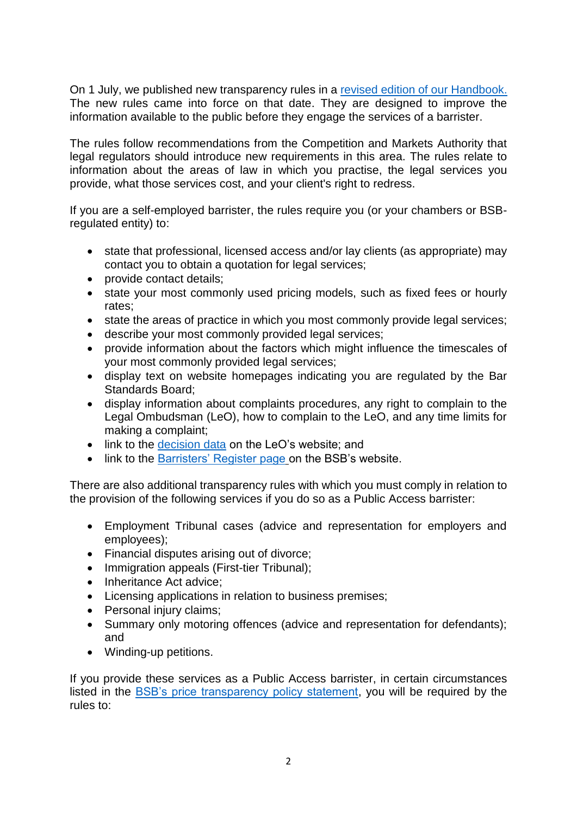On 1 July, we published new transparency rules in a [revised edition of our](https://www.barstandardsboard.org.uk/regulatory-requirements/bsb-handbook/) Handbook. The new rules came into force on that date. They are designed to improve the information available to the public before they engage the services of a barrister.

The rules follow recommendations from the Competition and Markets Authority that legal regulators should introduce new requirements in this area. The rules relate to information about the areas of law in which you practise, the legal services you provide, what those services cost, and your client's right to redress.

If you are a self-employed barrister, the rules require you (or your chambers or BSBregulated entity) to:

- state that professional, licensed access and/or lay clients (as appropriate) may contact you to obtain a quotation for legal services;
- provide contact details;
- state your most commonly used pricing models, such as fixed fees or hourly rates;
- state the areas of practice in which you most commonly provide legal services;
- describe your most commonly provided legal services;
- provide information about the factors which might influence the timescales of your most commonly provided legal services;
- display text on website homepages indicating you are regulated by the Bar Standards Board;
- display information about complaints procedures, any right to complain to the Legal Ombudsman (LeO), how to complain to the LeO, and any time limits for making a complaint;
- link to the [decision data](https://www.legalombudsman.org.uk/raising-standards/data-and-decisions/) on the LeO's website; and
- link to the [Barristers' Register page](https://www.barstandardsboard.org.uk/regulatory-requirements/the-barristers) on the BSB's website.

There are also additional transparency rules with which you must comply in relation to the provision of the following services if you do so as a Public Access barrister:

- Employment Tribunal cases (advice and representation for employers and employees);
- Financial disputes arising out of divorce;
- Immigration appeals (First-tier Tribunal);
- Inheritance Act advice:
- Licensing applications in relation to business premises;
- Personal injury claims;
- Summary only motoring offences (advice and representation for defendants); and
- Winding-up petitions.

If you provide these services as a Public Access barrister, in certain circumstances listed in the [BSB's price transparency policy statement,](https://www.barstandardsboard.org.uk/media/1993325/bsb_price_transparency_policy_statement__july_2019_.pdf) you will be required by the rules to: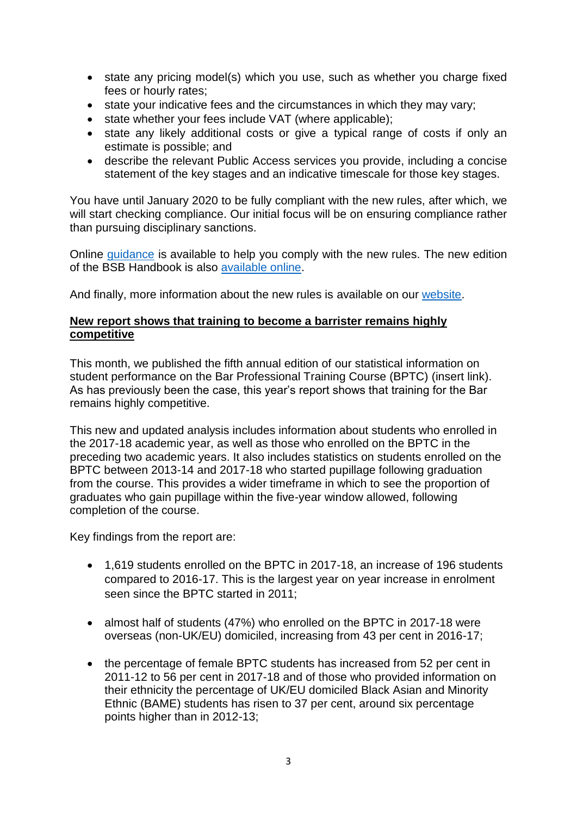- state any pricing model(s) which you use, such as whether you charge fixed fees or hourly rates;
- state your indicative fees and the circumstances in which they may vary;
- state whether your fees include VAT (where applicable);
- state any likely additional costs or give a typical range of costs if only an estimate is possible; and
- describe the relevant Public Access services you provide, including a concise statement of the key stages and an indicative timescale for those key stages.

You have until January 2020 to be fully compliant with the new rules, after which, we will start checking compliance. Our initial focus will be on ensuring compliance rather than pursuing disciplinary sanctions.

Online [guidance](https://www.barstandardsboard.org.uk/regulatory-requirements/bsb-handbook/code-guidance/) is available to help you comply with the new rules. The new edition of the BSB Handbook is also [available online.](https://www.barstandardsboard.org.uk/regulatory-requirements/bsb-handbook/code-guidance/)

And finally, more information about the new rules is available on our [website.](https://www.barstandardsboard.org.uk/regulatory-requirements/for-barristers/transparency-rules/)

#### **New report shows that training to become a barrister remains highly competitive**

This month, we published the fifth annual edition of our statistical information on student performance on the Bar Professional Training Course (BPTC) (insert link). As has previously been the case, this year's report shows that training for the Bar remains highly competitive.

This new and updated analysis includes information about students who enrolled in the 2017-18 academic year, as well as those who enrolled on the BPTC in the preceding two academic years. It also includes statistics on students enrolled on the BPTC between 2013-14 and 2017-18 who started pupillage following graduation from the course. This provides a wider timeframe in which to see the proportion of graduates who gain pupillage within the five-year window allowed, following completion of the course.

Key findings from the report are:

- 1,619 students enrolled on the BPTC in 2017-18, an increase of 196 students compared to 2016-17. This is the largest year on year increase in enrolment seen since the BPTC started in 2011;
- almost half of students (47%) who enrolled on the BPTC in 2017-18 were overseas (non-UK/EU) domiciled, increasing from 43 per cent in 2016-17;
- the percentage of female BPTC students has increased from 52 per cent in 2011-12 to 56 per cent in 2017-18 and of those who provided information on their ethnicity the percentage of UK/EU domiciled Black Asian and Minority Ethnic (BAME) students has risen to 37 per cent, around six percentage points higher than in 2012-13;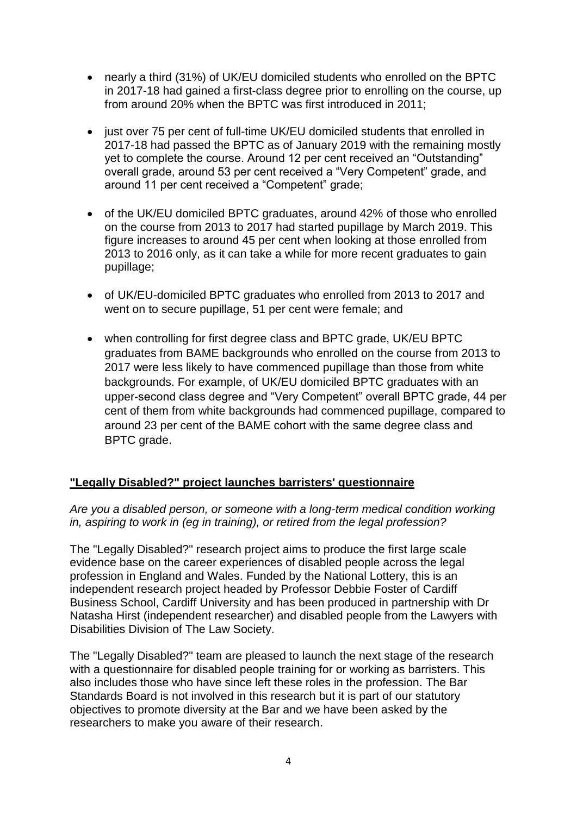- nearly a third (31%) of UK/EU domiciled students who enrolled on the BPTC in 2017-18 had gained a first-class degree prior to enrolling on the course, up from around 20% when the BPTC was first introduced in 2011;
- just over 75 per cent of full-time UK/EU domiciled students that enrolled in 2017-18 had passed the BPTC as of January 2019 with the remaining mostly yet to complete the course. Around 12 per cent received an "Outstanding" overall grade, around 53 per cent received a "Very Competent" grade, and around 11 per cent received a "Competent" grade;
- of the UK/EU domiciled BPTC graduates, around 42% of those who enrolled on the course from 2013 to 2017 had started pupillage by March 2019. This figure increases to around 45 per cent when looking at those enrolled from 2013 to 2016 only, as it can take a while for more recent graduates to gain pupillage;
- of UK/EU-domiciled BPTC graduates who enrolled from 2013 to 2017 and went on to secure pupillage, 51 per cent were female; and
- when controlling for first degree class and BPTC grade, UK/EU BPTC graduates from BAME backgrounds who enrolled on the course from 2013 to 2017 were less likely to have commenced pupillage than those from white backgrounds. For example, of UK/EU domiciled BPTC graduates with an upper-second class degree and "Very Competent" overall BPTC grade, 44 per cent of them from white backgrounds had commenced pupillage, compared to around 23 per cent of the BAME cohort with the same degree class and BPTC grade.

## **"Legally Disabled?" project launches barristers' questionnaire**

#### *Are you a disabled person, or someone with a long-term medical condition working in, aspiring to work in (eg in training), or retired from the legal profession?*

The "Legally Disabled?" research project aims to produce the first large scale evidence base on the career experiences of disabled people across the legal profession in England and Wales. Funded by the National Lottery, this is an independent research project headed by Professor Debbie Foster of Cardiff Business School, Cardiff University and has been produced in partnership with Dr Natasha Hirst (independent researcher) and disabled people from the Lawyers with Disabilities Division of The Law Society.

The "Legally Disabled?" team are pleased to launch the next stage of the research with a questionnaire for disabled people training for or working as barristers. This also includes those who have since left these roles in the profession. The Bar Standards Board is not involved in this research but it is part of our statutory objectives to promote diversity at the Bar and we have been asked by the researchers to make you aware of their research.